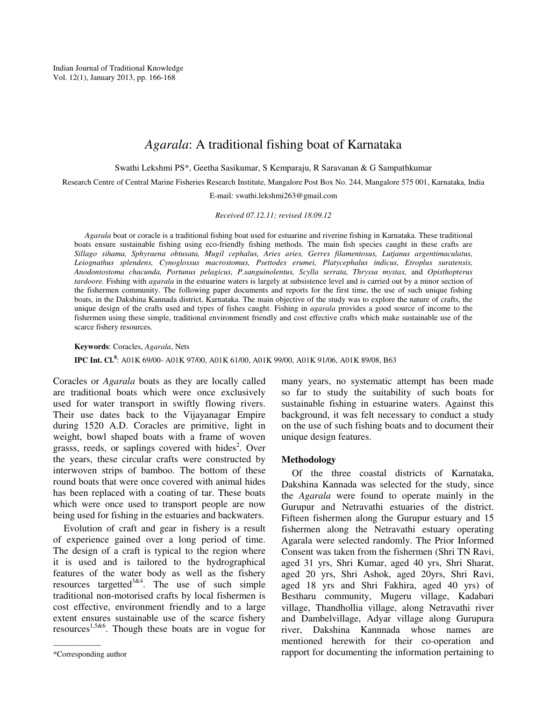# *Agarala*: A traditional fishing boat of Karnataka

Swathi Lekshmi PS\*, Geetha Sasikumar, S Kemparaju, R Saravanan & G Sampathkumar

Research Centre of Central Marine Fisheries Research Institute, Mangalore Post Box No. 244, Mangalore 575 001, Karnataka, India

E-mail*:* swathi.lekshmi263@gmail.com

*Received 07.12.11; revised 18.09.12*

*Agarala* boat or coracle is a traditional fishing boat used for estuarine and riverine fishing in Karnataka. These traditional boats ensure sustainable fishing using eco-friendly fishing methods. The main fish species caught in these crafts are *Sillago sihama, Sphyraena obtusata, Mugil cephalus, Aries aries, Gerres filamentosus, Lutjanus argentimaculatus, Leiognathus splendens, Cynoglossus macrostomus, Psettodes erumei, Platycephalus indicus, Etroplus suratensis, Anodontostoma chacunda, Portunus pelagicus, P.sanguinolentus, Scylla serrata, Thryssa mystax,* and *Opisthopterus tardoore*. Fishing with *agarala* in the estuarine waters is largely at subsistence level and is carried out by a minor section of the fishermen community. The following paper documents and reports for the first time, the use of such unique fishing boats, in the Dakshina Kannada district, Karnataka. The main objective of the study was to explore the nature of crafts, the unique design of the crafts used and types of fishes caught. Fishing in *agarala* provides a good source of income to the fishermen using these simple, traditional environment friendly and cost effective crafts which make sustainable use of the scarce fishery resources.

**Keywords**: Coracles, *Agarala*, Nets **IPC Int. Cl.<sup>8</sup>** : A01K 69/00- A01K 97/00, A01K 61/00, A01K 99/00, A01K 91/06, A01K 89/08, B63

Coracles or *Agarala* boats as they are locally called are traditional boats which were once exclusively used for water transport in swiftly flowing rivers. Their use dates back to the Vijayanagar Empire during 1520 A.D. Coracles are primitive, light in weight, bowl shaped boats with a frame of woven grasss, reeds, or saplings covered with hides<sup>2</sup>. Over the years, these circular crafts were constructed by interwoven strips of bamboo. The bottom of these round boats that were once covered with animal hides has been replaced with a coating of tar. These boats which were once used to transport people are now being used for fishing in the estuaries and backwaters.

Evolution of craft and gear in fishery is a result of experience gained over a long period of time. The design of a craft is typical to the region where it is used and is tailored to the hydrographical features of the water body as well as the fishery resources targetted<sup>3&4</sup>. The use of such simple traditional non-motorised crafts by local fishermen is cost effective, environment friendly and to a large extent ensures sustainable use of the scarce fishery resources<sup>1,5&6</sup>. Though these boats are in vogue for

——————

many years, no systematic attempt has been made so far to study the suitability of such boats for sustainable fishing in estuarine waters. Against this background, it was felt necessary to conduct a study on the use of such fishing boats and to document their unique design features.

### **Methodology**

Of the three coastal districts of Karnataka, Dakshina Kannada was selected for the study, since the *Agarala* were found to operate mainly in the Gurupur and Netravathi estuaries of the district. Fifteen fishermen along the Gurupur estuary and 15 fishermen along the Netravathi estuary operating Agarala were selected randomly. The Prior Informed Consent was taken from the fishermen (Shri TN Ravi, aged 31 yrs, Shri Kumar, aged 40 yrs, Shri Sharat, aged 20 yrs, Shri Ashok, aged 20yrs, Shri Ravi, aged 18 yrs and Shri Fakhira, aged 40 yrs) of Bestharu community, Mugeru village, Kadabari village, Thandhollia village, along Netravathi river and Dambelvillage, Adyar village along Gurupura river, Dakshina Kannnada whose names are mentioned herewith for their co-operation and rapport for documenting the information pertaining to

<sup>\*</sup>Corresponding author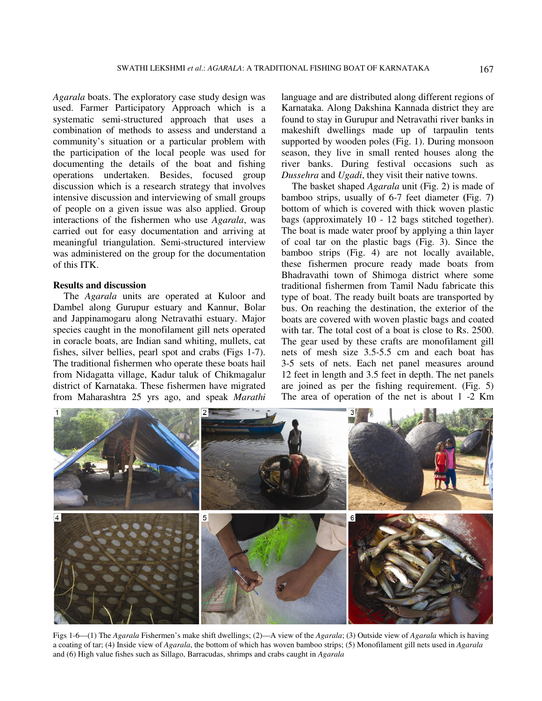*Agarala* boats. The exploratory case study design was used. Farmer Participatory Approach which is a systematic semi-structured approach that uses a combination of methods to assess and understand a community's situation or a particular problem with the participation of the local people was used for documenting the details of the boat and fishing operations undertaken. Besides, focused group discussion which is a research strategy that involves intensive discussion and interviewing of small groups of people on a given issue was also applied. Group interactions of the fishermen who use *Agarala*, was carried out for easy documentation and arriving at meaningful triangulation. Semi-structured interview was administered on the group for the documentation of this ITK.

# **Results and discussion**

The *Agarala* units are operated at Kuloor and Dambel along Gurupur estuary and Kannur, Bolar and Jappinamogaru along Netravathi estuary. Major species caught in the monofilament gill nets operated in coracle boats, are Indian sand whiting, mullets, cat fishes, silver bellies, pearl spot and crabs (Figs 1-7). The traditional fishermen who operate these boats hail from Nidagatta village, Kadur taluk of Chikmagalur district of Karnataka. These fishermen have migrated from Maharashtra 25 yrs ago, and speak *Marathi*

language and are distributed along different regions of Karnataka. Along Dakshina Kannada district they are found to stay in Gurupur and Netravathi river banks in makeshift dwellings made up of tarpaulin tents supported by wooden poles (Fig. 1). During monsoon season, they live in small rented houses along the river banks. During festival occasions such as *Dussehra* and *Ugadi*, they visit their native towns.

The basket shaped *Agarala* unit (Fig. 2) is made of bamboo strips, usually of 6-7 feet diameter **(**Fig. 7**)** bottom of which is covered with thick woven plastic bags (approximately 10 - 12 bags stitched together). The boat is made water proof by applying a thin layer of coal tar on the plastic bags (Fig. 3). Since the bamboo strips (Fig. 4) are not locally available, these fishermen procure ready made boats from Bhadravathi town of Shimoga district where some traditional fishermen from Tamil Nadu fabricate this type of boat. The ready built boats are transported by bus. On reaching the destination, the exterior of the boats are covered with woven plastic bags and coated with tar. The total cost of a boat is close to Rs. 2500. The gear used by these crafts are monofilament gill nets of mesh size 3.5-5.5 cm and each boat has 3-5 sets of nets. Each net panel measures around 12 feet in length and 3.5 feet in depth. The net panels are joined as per the fishing requirement. (Fig. 5) The area of operation of the net is about 1 -2 Km



Figs 1-6—(1) The *Agarala* Fishermen's make shift dwellings; (2)—A view of the *Agarala*; (3) Outside view of *Agarala* which is having a coating of tar; (4) Inside view of *Agarala*, the bottom of which has woven bamboo strips; (5) Monofilament gill nets used in *Agarala* and (6) High value fishes such as Sillago, Barracudas, shrimps and crabs caught in *Agarala*